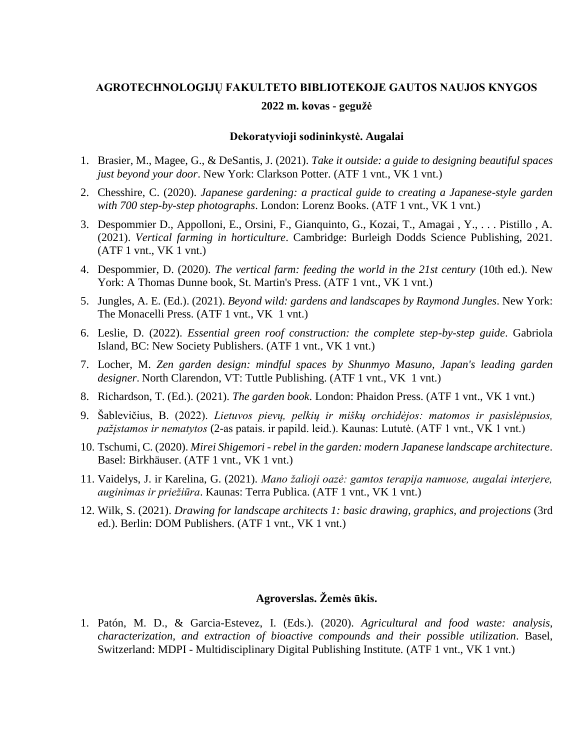# **AGROTECHNOLOGIJŲ FAKULTETO BIBLIOTEKOJE GAUTOS NAUJOS KNYGOS 2022 m. kovas - gegužė**

## **Dekoratyvioji sodininkystė. Augalai**

- 1. Brasier, M., Magee, G., & DeSantis, J. (2021). *Take it outside: a guide to designing beautiful spaces just beyond your door*. New York: Clarkson Potter. (ATF 1 vnt., VK 1 vnt.)
- 2. Chesshire, C. (2020). *Japanese gardening: a practical guide to creating a Japanese-style garden with 700 step-by-step photographs*. London: Lorenz Books. (ATF 1 vnt., VK 1 vnt.)
- 3. Despommier D., Appolloni, E., Orsini, F., Gianquinto, G., Kozai, T., Amagai , Y., . . . Pistillo , A. (2021). *Vertical farming in horticulture*. Cambridge: Burleigh Dodds Science Publishing, 2021. (ATF 1 vnt., VK 1 vnt.)
- 4. Despommier, D. (2020). *The vertical farm: feeding the world in the 21st century* (10th ed.). New York: A Thomas Dunne book, St. Martin's Press. (ATF 1 vnt., VK 1 vnt.)
- 5. Jungles, A. E. (Ed.). (2021). *Beyond wild: gardens and landscapes by Raymond Jungles*. New York: The Monacelli Press. (ATF 1 vnt., VK 1 vnt.)
- 6. Leslie, D. (2022). *Essential green roof construction: the complete step-by-step guide*. Gabriola Island, BC: New Society Publishers. (ATF 1 vnt., VK 1 vnt.)
- 7. Locher, M. *Zen garden design: mindful spaces by Shunmyo Masuno, Japan's leading garden designer*. North Clarendon, VT: Tuttle Publishing. (ATF 1 vnt., VK 1 vnt.)
- 8. Richardson, T. (Ed.). (2021). *The garden book*. London: Phaidon Press. (ATF 1 vnt., VK 1 vnt.)
- 9. Šablevičius, B. (2022). *Lietuvos pievų, pelkių ir miškų orchidėjos: matomos ir pasislėpusios, pažįstamos ir nematytos* (2-as patais. ir papild. leid.). Kaunas: Lututė. (ATF 1 vnt., VK 1 vnt.)
- 10. Tschumi, C. (2020). *Mirei Shigemori - rebel in the garden: modern Japanese landscape architecture*. Basel: Birkhäuser. (ATF 1 vnt., VK 1 vnt.)
- 11. Vaidelys, J. ir Karelina, G. (2021). *Mano žalioji oazė: gamtos terapija namuose, augalai interjere, auginimas ir priežiūra*. Kaunas: Terra Publica. (ATF 1 vnt., VK 1 vnt.)
- 12. Wilk, S. (2021). *Drawing for landscape architects 1: basic drawing, graphics, and projections* (3rd ed.). Berlin: DOM Publishers. (ATF 1 vnt., VK 1 vnt.)

## **Agroverslas. Žemės ūkis.**

1. Patón, M. D., & Garcia-Estevez, I. (Eds.). (2020). *Agricultural and food waste: analysis, characterization, and extraction of bioactive compounds and their possible utilization*. Basel, Switzerland: MDPI - Multidisciplinary Digital Publishing Institute*.* (ATF 1 vnt., VK 1 vnt.)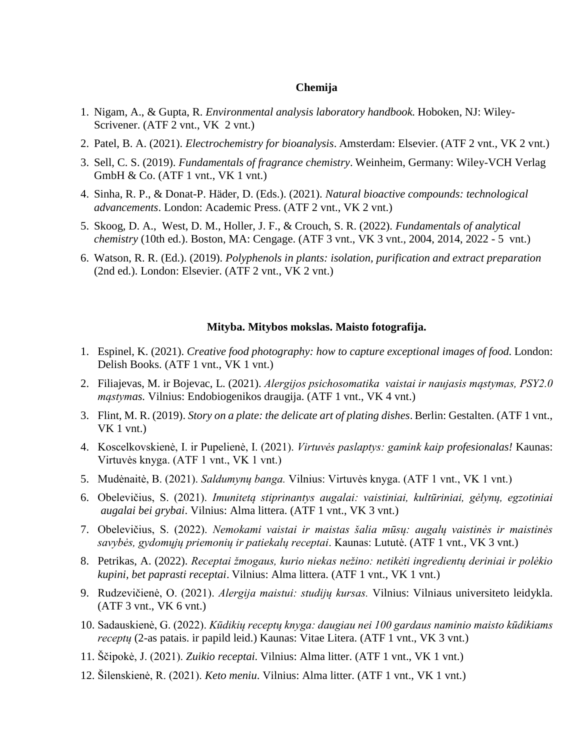#### **Chemija**

- 1. Nigam, A., & Gupta, R. *Environmental analysis laboratory handbook.* Hoboken, NJ: Wiley-Scrivener. (ATF 2 vnt., VK 2 vnt.)
- 2. Patel, B. A. (2021). *Electrochemistry for bioanalysis*. Amsterdam: Elsevier. (ATF 2 vnt., VK 2 vnt.)
- 3. Sell, C. S. (2019). *Fundamentals of fragrance chemistry*. Weinheim, Germany: Wiley-VCH Verlag GmbH & Co. (ATF 1 vnt., VK 1 vnt.)
- 4. Sinha, R. P., & Donat-P. Häder, D. (Eds.). (2021). *Natural bioactive compounds: technological advancements*. London: Academic Press. (ATF 2 vnt., VK 2 vnt.)
- 5. Skoog, D. A., West, D. M., Holler, J. F., & Crouch, S. R. (2022). *Fundamentals of analytical chemistry* (10th ed.). Boston, MA: Cengage. (ATF 3 vnt., VK 3 vnt., 2004, 2014, 2022 - 5 vnt.)
- 6. Watson, R. R. (Ed.). (2019). *Polyphenols in plants: isolation, purification and extract preparation* (2nd ed.). London: Elsevier. (ATF 2 vnt., VK 2 vnt.)

### **Mityba. Mitybos mokslas. Maisto fotografija.**

- 1. Espinel, K. (2021). *Creative food photography: how to capture exceptional images of food.* London: Delish Books. (ATF 1 vnt., VK 1 vnt.)
- 2. Filiajevas, M. ir Bojevac, L. (2021). *Alergijos psichosomatika vaistai ir naujasis mąstymas, PSY2.0 mąstymas.* Vilnius: Endobiogenikos draugija. (ATF 1 vnt., VK 4 vnt.)
- 3. Flint, M. R. (2019). *Story on a plate: the delicate art of plating dishes*. Berlin: Gestalten. (ATF 1 vnt., VK 1 vnt.)
- 4. Koscelkovskienė, I. ir Pupelienė, I. (2021). *Virtuvės paslaptys: gamink kaip profesionalas!* Kaunas: Virtuvės knyga. (ATF 1 vnt., VK 1 vnt.)
- 5. Mudėnaitė, B. (2021). *Saldumynų banga.* Vilnius: Virtuvės knyga. (ATF 1 vnt., VK 1 vnt.)
- 6. Obelevičius, S. (2021). *Imunitetą stiprinantys augalai: vaistiniai, kultūriniai, gėlynų, egzotiniai augalai bei grybai*. Vilnius: Alma littera. (ATF 1 vnt., VK 3 vnt.)
- 7. Obelevičius, S. (2022). *Nemokami vaistai ir maistas šalia mūsų: augalų vaistinės ir maistinės savybės, gydomųjų priemonių ir patiekalų receptai*. Kaunas: Lututė. (ATF 1 vnt., VK 3 vnt.)
- 8. Petrikas, A. (2022). *Receptai žmogaus, kurio niekas nežino: netikėti ingredientų deriniai ir polėkio kupini, bet paprasti receptai*. Vilnius: Alma littera. (ATF 1 vnt., VK 1 vnt.)
- 9. Rudzevičienė, O. (2021). *Alergija maistui: studijų kursas.* Vilnius: Vilniaus universiteto leidykla. (ATF 3 vnt., VK 6 vnt.)
- 10. Sadauskienė, G. (2022). *Kūdikių receptų knyga: daugiau nei 100 gardaus naminio maisto kūdikiams receptų* (2-as patais. ir papild leid.) Kaunas: Vitae Litera. (ATF 1 vnt., VK 3 vnt.)
- 11. Ščipokė, J. (2021). *Zuikio receptai.* Vilnius: Alma litter. (ATF 1 vnt., VK 1 vnt.)
- 12. Šilenskienė, R. (2021). *Keto meniu*. Vilnius: Alma litter. (ATF 1 vnt., VK 1 vnt.)